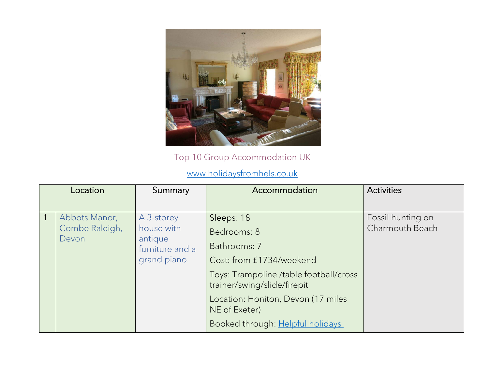

[Top 10 Group Accommodation UK](https://www.holidaysfromhels.co.uk/2020/01/18/large-group-accommodation-uk/)

[www.holidaysfromhels.co.uk](http://www.holidaysfromhels.co.uk/)

| Location                                 | Summary                                                                | Accommodation                                                                                                                                                                                                                             | <b>Activities</b>                    |
|------------------------------------------|------------------------------------------------------------------------|-------------------------------------------------------------------------------------------------------------------------------------------------------------------------------------------------------------------------------------------|--------------------------------------|
| Abbots Manor,<br>Combe Raleigh,<br>Devon | A 3-storey<br>house with<br>antique<br>furniture and a<br>grand piano. | Sleeps: 18<br>Bedrooms: 8<br>Bathrooms: 7<br>Cost: from £1734/weekend<br>Toys: Trampoline /table football/cross<br>trainer/swing/slide/firepit<br>Location: Honiton, Devon (17 miles<br>NE of Exeter)<br>Booked through: Helpful holidays | Fossil hunting on<br>Charmouth Beach |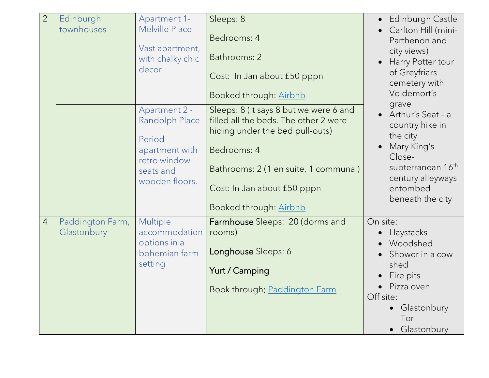| $\overline{2}$ | Edinburgh<br>townhouses         | Apartment 1-<br>Melville Place<br>Vast apartment,<br>with chalky chic<br>decor                             | Sleeps: 8<br>Bedrooms: 4<br>Bathrooms: 2<br>Cost: In Jan about £50 pppn<br>Booked through: Airbnb                                                                                                                                   | Edinburgh Castle<br>Carlton Hill (mini-<br>Parthenon and<br>city views)<br>Harry Potter tour<br>of Greyfriars<br>cemetery with<br>Voldemort's                              |
|----------------|---------------------------------|------------------------------------------------------------------------------------------------------------|-------------------------------------------------------------------------------------------------------------------------------------------------------------------------------------------------------------------------------------|----------------------------------------------------------------------------------------------------------------------------------------------------------------------------|
|                |                                 | Apartment 2 -<br>Randolph Place<br>Period<br>apartment with<br>retro window<br>seats and<br>wooden floors. | Sleeps: 8 (It says 8 but we were 6 and<br>filled all the beds. The other 2 were<br>hiding under the bed pull-outs)<br>Bedrooms: 4<br>Bathrooms: 2 (1 en suite, 1 communal)<br>Cost: In Jan about £50 pppn<br>Booked through: Airbnb | grave<br>• Arthur's Seat - a<br>country hike in<br>the city<br>Mary King's<br>Close-<br>subterranean 16 <sup>th</sup><br>century alleyways<br>entombed<br>beneath the city |
| $\overline{4}$ | Paddington Farm,<br>Glastonbury | Multiple<br>accommodation<br>options in a<br>bohemian farm<br>setting                                      | Farmhouse Sleeps: 20 (dorms and<br>rooms)<br>Longhouse Sleeps: 6<br>Yurt / Camping<br>Book through: Paddington Farm                                                                                                                 | On site:<br>Haystacks<br>Woodshed<br>Shower in a cow<br>shed<br>Fire pits<br>Pizza oven<br>Off site:<br>Glastonbury<br>Tor<br>Glastonbury                                  |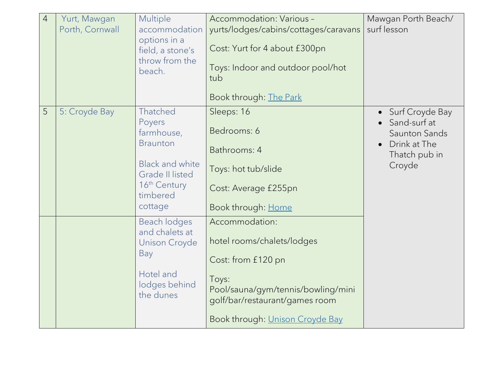| $\overline{4}$ | Yurt, Mawgan<br>Porth, Cornwall | Multiple<br>accommodation<br>options in a<br>field, a stone's<br>throw from the<br>beach.                                                      | Accommodation: Various -<br>yurts/lodges/cabins/cottages/caravans<br>Cost: Yurt for 4 about £300pn<br>Toys: Indoor and outdoor pool/hot<br>tub<br>Book through: The Park                      | Mawgan Porth Beach/<br>surf lesson                                                          |
|----------------|---------------------------------|------------------------------------------------------------------------------------------------------------------------------------------------|-----------------------------------------------------------------------------------------------------------------------------------------------------------------------------------------------|---------------------------------------------------------------------------------------------|
| 5              | 5: Croyde Bay                   | Thatched<br>Poyers<br>farmhouse,<br><b>Braunton</b><br><b>Black and white</b><br><b>Grade II listed</b><br>16th Century<br>timbered<br>cottage | Sleeps: 16<br>Bedrooms: 6<br>Bathrooms: 4<br>Toys: hot tub/slide<br>Cost: Average £255pn<br>Book through: Home                                                                                | Surf Croyde Bay<br>Sand-surf at<br>Saunton Sands<br>Drink at The<br>Thatch pub in<br>Croyde |
|                |                                 | Beach lodges<br>and chalets at<br><b>Unison Croyde</b><br>Bay<br>Hotel and<br>lodges behind<br>the dunes                                       | Accommodation:<br>hotel rooms/chalets/lodges<br>Cost: from £120 pn<br>Toys:<br>Pool/sauna/gym/tennis/bowling/mini<br>golf/bar/restaurant/games room<br>Book through: <i>Unison Croyde Bay</i> |                                                                                             |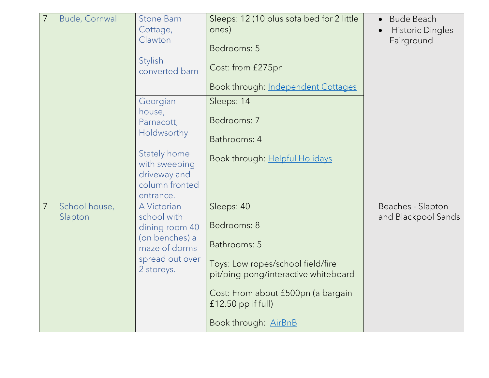| $\overline{7}$ | <b>Bude, Cornwall</b> | <b>Stone Barn</b><br>Cottage,<br>Clawton<br><b>Stylish</b><br>converted barn | Sleeps: 12 (10 plus sofa bed for 2 little<br>ones)<br>Bedrooms: 5<br>Cost: from £275pn | <b>Bude Beach</b><br>$\bullet$<br><b>Historic Dingles</b><br>Fairground |
|----------------|-----------------------|------------------------------------------------------------------------------|----------------------------------------------------------------------------------------|-------------------------------------------------------------------------|
|                |                       |                                                                              | Book through: Independent Cottages                                                     |                                                                         |
|                |                       | Georgian                                                                     | Sleeps: 14                                                                             |                                                                         |
|                |                       | house,<br>Parnacott,                                                         | Bedrooms: 7                                                                            |                                                                         |
|                |                       | Holdwsorthy                                                                  | Bathrooms: 4                                                                           |                                                                         |
|                |                       | Stately home<br>with sweeping<br>driveway and<br>column fronted<br>entrance. | Book through: Helpful Holidays                                                         |                                                                         |
| 7              | School house,         | A Victorian                                                                  | Sleeps: 40                                                                             | Beaches - Slapton                                                       |
|                | Slapton               | school with<br>dining room 40                                                | Bedrooms: 8                                                                            | and Blackpool Sands                                                     |
|                |                       | (on benches) a<br>maze of dorms                                              | Bathrooms: 5                                                                           |                                                                         |
|                |                       | spread out over<br>2 storeys.                                                | Toys: Low ropes/school field/fire<br>pit/ping pong/interactive whiteboard              |                                                                         |
|                |                       |                                                                              | Cost: From about £500pn (a bargain<br>$f12.50$ pp if full)                             |                                                                         |
|                |                       |                                                                              | Book through: AirBnB                                                                   |                                                                         |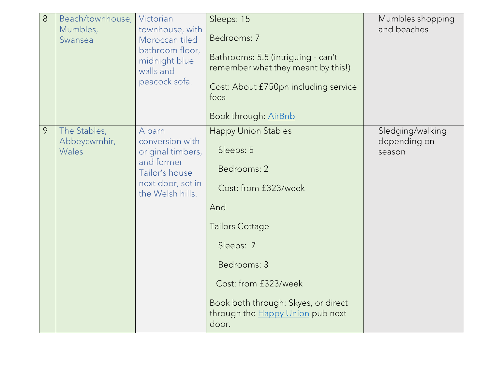| 8 | Beach/townhouse,<br>Mumbles,<br>Swansea | Victorian<br>townhouse, with<br>Moroccan tiled<br>bathroom floor,<br>midnight blue<br>walls and<br>peacock sofa.        | Sleeps: 15<br>Bedrooms: 7<br>Bathrooms: 5.5 (intriguing - can't<br>remember what they meant by this!)<br>Cost: About £750pn including service<br>fees<br>Book through: AirBnb                                                                           | Mumbles shopping<br>and beaches            |
|---|-----------------------------------------|-------------------------------------------------------------------------------------------------------------------------|---------------------------------------------------------------------------------------------------------------------------------------------------------------------------------------------------------------------------------------------------------|--------------------------------------------|
| 9 | The Stables,<br>Abbeycwmhir,<br>Wales   | A barn<br>conversion with<br>original timbers,<br>and former<br>Tailor's house<br>next door, set in<br>the Welsh hills. | <b>Happy Union Stables</b><br>Sleeps: 5<br>Bedrooms: 2<br>Cost: from £323/week<br>And<br>Tailors Cottage<br>Sleeps: 7<br>Bedrooms: 3<br>Cost: from £323/week<br>Book both through: Skyes, or direct<br>through the <b>Happy Union</b> pub next<br>door. | Sledging/walking<br>depending on<br>season |